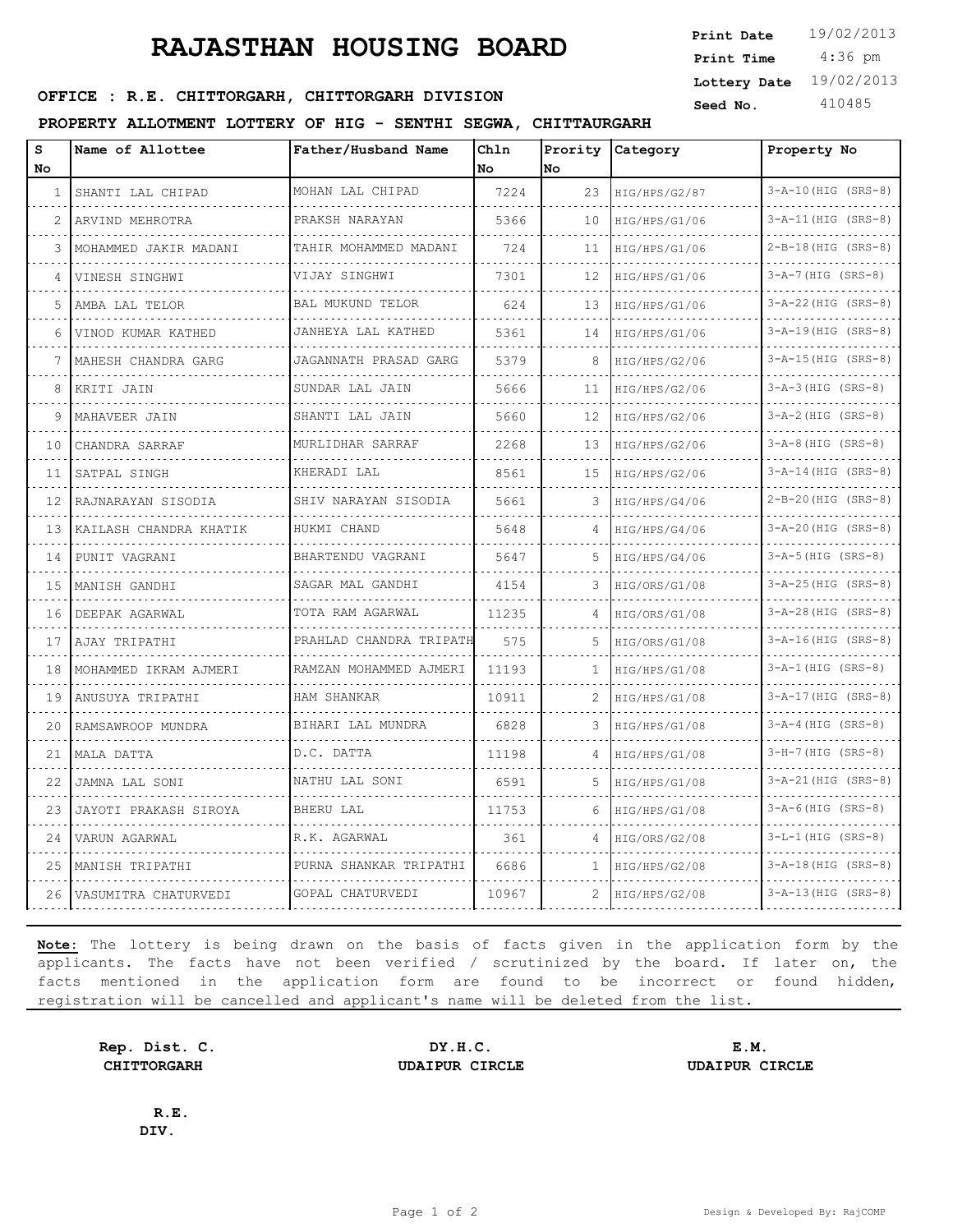# **RAJASTHAN HOUSING BOARD**

 4:36 pm **Print Date Print Time Lottery Date** 19/02/2013

## **SEED OFFICE : R.E. CHITTORGARH, CHITTORGARH DIVISION** Seed No. 410485

**PROPERTY ALLOTMENT LOTTERY OF HIG - SENTHI SEGWA, CHITTAURGARH**

| s<br>No | Name of Allottee       | Father/Husband Name     | Chln<br>No | Prority<br>lNo. | Category      | Property No               |
|---------|------------------------|-------------------------|------------|-----------------|---------------|---------------------------|
| 1       | SHANTI LAL CHIPAD      | MOHAN LAL CHIPAD        | 7224       | 23              | HIG/HPS/G2/87 | 3-A-10 (HIG (SRS-8)       |
| 2       | ARVIND MEHROTRA        | PRAKSH NARAYAN          | 5366       | 10              | HIG/HPS/G1/06 | $3 - A - 11$ (HIG (SRS-8) |
| 3       | MOHAMMED JAKIR MADANI  | TAHIR MOHAMMED MADANI   | 724        | 11              | HIG/HPS/G1/06 | $2-B-18$ (HIG (SRS-8)     |
|         | VINESH SINGHWI         | VIJAY SINGHWI           | 7301       | 12              | HIG/HPS/G1/06 | $3 - A - 7$ (HIG (SRS-8)  |
| 5       | .<br>AMBA LAL TELOR    | <b>BAL MUKUND TELOR</b> | 624        | 13              | HIG/HPS/G1/06 | $3 - A - 22$ (HIG (SRS-8) |
| 6       | VINOD KUMAR KATHED     | JANHEYA LAL KATHED      | 5361       | 14              | HIG/HPS/G1/06 | $3 - A - 19$ (HIG (SRS-8) |
|         | MAHESH CHANDRA GARG    | JAGANNATH PRASAD GARG   | 5379       | 8               | HIG/HPS/G2/06 | $3 - A - 15$ (HIG (SRS-8) |
| 8       | KRITI JAIN             | SUNDAR LAL JAIN         | 5666       | 11              | HIG/HPS/G2/06 | $3-A-3$ (HIG (SRS-8)      |
| 9       | MAHAVEER JAIN          | SHANTI LAL JAIN         | 5660       | 12              | HIG/HPS/G2/06 | $3 - A - 2$ (HIG (SRS-8)  |
| 10      | CHANDRA SARRAF         | MURLIDHAR SARRAF        | 2268       | 13              | HIG/HPS/G2/06 | $3-A-8$ (HIG (SRS-8)      |
| 11      | SATPAL SINGH           | KHERADI LAL             | 8561       | 15              | HIG/HPS/G2/06 | $3 - A - 14$ (HIG (SRS-8) |
| 12      | RAJNARAYAN SISODIA     | SHIV NARAYAN SISODIA    | 5661       | 3               | HIG/HPS/G4/06 | $2-B-20(HIG (SRS-8))$     |
| 13      | KAILASH CHANDRA KHATIK | HUKMI CHAND             | 5648       | 4               | HIG/HPS/G4/06 | 3-A-20 (HIG (SRS-8)       |
| 14      | PUNIT VAGRANI          | BHARTENDU VAGRANI       | 5647       | 5               | HIG/HPS/G4/06 | $3-A-5$ (HIG (SRS-8)      |
| 15      | MANISH GANDHI          | SAGAR MAL GANDHI        | 4154       | 3               | HIG/ORS/G1/08 | $3 - A - 25$ (HIG (SRS-8) |
| 16      | DEEPAK AGARWAL         | TOTA RAM AGARWAL        | 11235      | 4               | HIG/ORS/G1/08 | 3-A-28 (HIG (SRS-8)       |
| 17      | AJAY TRIPATHI          | PRAHLAD CHANDRA TRIPATH | 575        | 5               | HIG/ORS/G1/08 | 3-A-16(HIG (SRS-8)        |
| 18      | MOHAMMED IKRAM AJMERI  | RAMZAN MOHAMMED AJMERI  | 11193      | 1               | HIG/HPS/G1/08 | $3 - A - 1$ (HIG (SRS-8)  |
| 19      | ANUSUYA TRIPATHI       | HAM SHANKAR             | 10911      | 2               | HIG/HPS/G1/08 | $3 - A - 17$ (HIG (SRS-8) |
| 20      | RAMSAWROOP MUNDRA      | BIHARI LAL MUNDRA       | 6828       | 3               | HIG/HPS/G1/08 | $3 - A - 4$ (HIG (SRS-8)  |
| 21      | MALA DATTA             | D.C. DATTA              | 11198      | 4               | HIG/HPS/G1/08 | $3-H-7$ (HIG (SRS-8)      |
| 22      | JAMNA LAL SONI         | NATHU LAL SONI          | 6591       | 5               | HIG/HPS/G1/08 | 3-A-21 (HIG (SRS-8)       |
| 23      | JAYOTI PRAKASH SIROYA  | BHERU LAL               | 11753      | 6               | HIG/HPS/G1/08 | $3 - A - 6$ (HIG (SRS-8)  |
| 24      | VARUN AGARWAL          | R.K. AGARWAL            | 361        | 4               | HIG/ORS/G2/08 | $3-L-1$ (HIG (SRS-8)      |
| 25      | MANISH TRIPATHI        | PURNA SHANKAR TRIPATHI  | 6686       | 1               | HIG/HPS/G2/08 | $3 - A - 18$ (HIG (SRS-8) |
| 26      | VASUMITRA CHATURVEDI   | GOPAL CHATURVEDI        | 10967      | 2               | HIG/HPS/G2/08 | $3 - A - 13$ (HIG (SRS-8) |

**Note:** The lottery is being drawn on the basis of facts given in the application form by the applicants. The facts have not been verified / scrutinized by the board. If later on, the facts mentioned in the application form are found to be incorrect or found hidden, registration will be cancelled and applicant's name will be deleted from the list.

**Rep. Dist. C. DY.H.C. E.M. CHITTORGARH UDAIPUR CIRCLE UDAIPUR CIRCLE**

**R.E. DIV.**